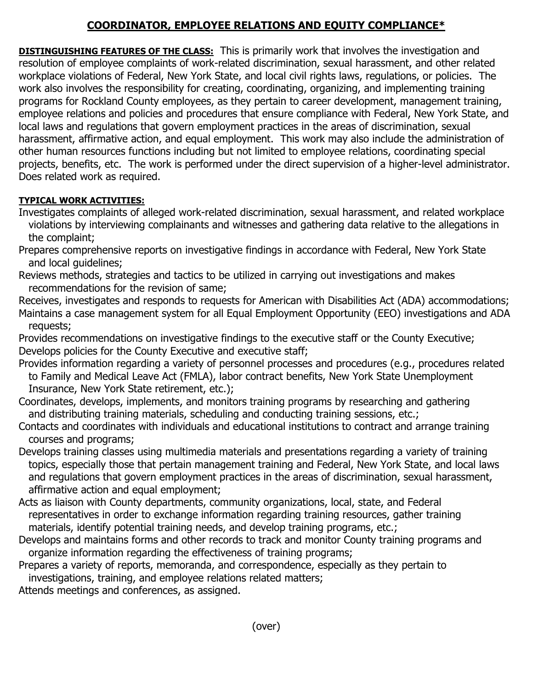## **COORDINATOR, EMPLOYEE RELATIONS AND EQUITY COMPLIANCE\***

**DISTINGUISHING FEATURES OF THE CLASS:** This is primarily work that involves the investigation and resolution of employee complaints of work-related discrimination, sexual harassment, and other related workplace violations of Federal, New York State, and local civil rights laws, regulations, or policies. The work also involves the responsibility for creating, coordinating, organizing, and implementing training programs for Rockland County employees, as they pertain to career development, management training, employee relations and policies and procedures that ensure compliance with Federal, New York State, and local laws and regulations that govern employment practices in the areas of discrimination, sexual harassment, affirmative action, and equal employment. This work may also include the administration of other human resources functions including but not limited to employee relations, coordinating special projects, benefits, etc. The work is performed under the direct supervision of a higher-level administrator. Does related work as required.

## **TYPICAL WORK ACTIVITIES:**

- Investigates complaints of alleged work-related discrimination, sexual harassment, and related workplace violations by interviewing complainants and witnesses and gathering data relative to the allegations in the complaint;
- Prepares comprehensive reports on investigative findings in accordance with Federal, New York State and local guidelines;
- Reviews methods, strategies and tactics to be utilized in carrying out investigations and makes recommendations for the revision of same;
- Receives, investigates and responds to requests for American with Disabilities Act (ADA) accommodations; Maintains a case management system for all Equal Employment Opportunity (EEO) investigations and ADA requests;
- Provides recommendations on investigative findings to the executive staff or the County Executive; Develops policies for the County Executive and executive staff;
- Provides information regarding a variety of personnel processes and procedures (e.g., procedures related to Family and Medical Leave Act (FMLA), labor contract benefits, New York State Unemployment Insurance, New York State retirement, etc.);
- Coordinates, develops, implements, and monitors training programs by researching and gathering and distributing training materials, scheduling and conducting training sessions, etc.;
- Contacts and coordinates with individuals and educational institutions to contract and arrange training courses and programs;
- Develops training classes using multimedia materials and presentations regarding a variety of training topics, especially those that pertain management training and Federal, New York State, and local laws and regulations that govern employment practices in the areas of discrimination, sexual harassment, affirmative action and equal employment;
- Acts as liaison with County departments, community organizations, local, state, and Federal representatives in order to exchange information regarding training resources, gather training materials, identify potential training needs, and develop training programs, etc.;
- Develops and maintains forms and other records to track and monitor County training programs and organize information regarding the effectiveness of training programs;
- Prepares a variety of reports, memoranda, and correspondence, especially as they pertain to investigations, training, and employee relations related matters;

Attends meetings and conferences, as assigned.